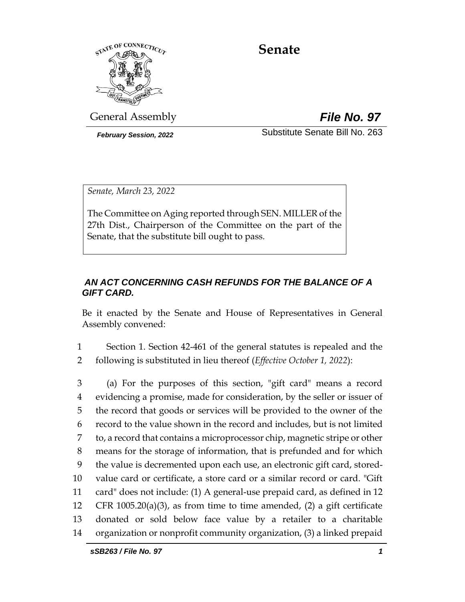

# **Senate**

General Assembly *File No. 97*

*February Session, 2022* Substitute Senate Bill No. 263

*Senate, March 23, 2022*

The Committee on Aging reported through SEN. MILLER of the 27th Dist., Chairperson of the Committee on the part of the Senate, that the substitute bill ought to pass.

## *AN ACT CONCERNING CASH REFUNDS FOR THE BALANCE OF A GIFT CARD.*

Be it enacted by the Senate and House of Representatives in General Assembly convened:

1 Section 1. Section 42-461 of the general statutes is repealed and the 2 following is substituted in lieu thereof (*Effective October 1, 2022*):

 (a) For the purposes of this section, "gift card" means a record evidencing a promise, made for consideration, by the seller or issuer of the record that goods or services will be provided to the owner of the record to the value shown in the record and includes, but is not limited to, a record that contains a microprocessor chip, magnetic stripe or other means for the storage of information, that is prefunded and for which the value is decremented upon each use, an electronic gift card, stored- value card or certificate, a store card or a similar record or card. "Gift card" does not include: (1) A general-use prepaid card, as defined in 12 CFR 1005.20(a)(3), as from time to time amended, (2) a gift certificate donated or sold below face value by a retailer to a charitable organization or nonprofit community organization, (3) a linked prepaid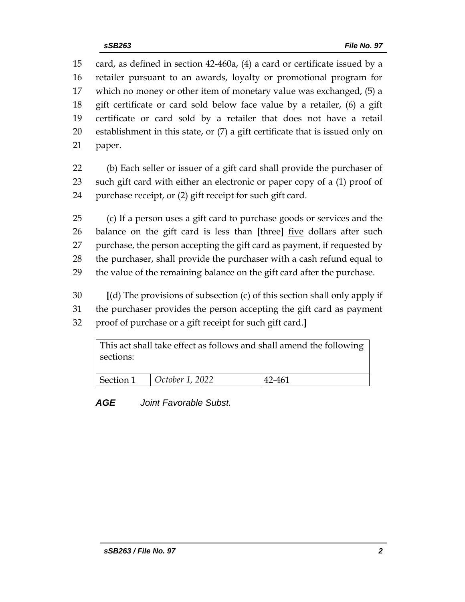card, as defined in section 42-460a, (4) a card or certificate issued by a retailer pursuant to an awards, loyalty or promotional program for which no money or other item of monetary value was exchanged, (5) a gift certificate or card sold below face value by a retailer, (6) a gift certificate or card sold by a retailer that does not have a retail establishment in this state, or (7) a gift certificate that is issued only on paper.

 (b) Each seller or issuer of a gift card shall provide the purchaser of such gift card with either an electronic or paper copy of a (1) proof of purchase receipt, or (2) gift receipt for such gift card.

 (c) If a person uses a gift card to purchase goods or services and the balance on the gift card is less than **[**three**]** five dollars after such purchase, the person accepting the gift card as payment, if requested by the purchaser, shall provide the purchaser with a cash refund equal to the value of the remaining balance on the gift card after the purchase.

 **[**(d) The provisions of subsection (c) of this section shall only apply if the purchaser provides the person accepting the gift card as payment proof of purchase or a gift receipt for such gift card.**]**

This act shall take effect as follows and shall amend the following sections: Section 1 *October 1, 2022* 42-461

*AGE Joint Favorable Subst.*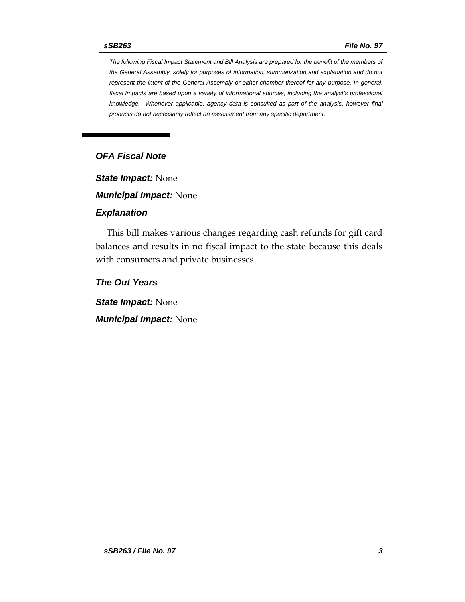*The following Fiscal Impact Statement and Bill Analysis are prepared for the benefit of the members of the General Assembly, solely for purposes of information, summarization and explanation and do not represent the intent of the General Assembly or either chamber thereof for any purpose. In general, fiscal impacts are based upon a variety of informational sources, including the analyst's professional knowledge. Whenever applicable, agency data is consulted as part of the analysis, however final products do not necessarily reflect an assessment from any specific department.*

## *OFA Fiscal Note*

*State Impact:* None

*Municipal Impact:* None

#### *Explanation*

This bill makes various changes regarding cash refunds for gift card balances and results in no fiscal impact to the state because this deals with consumers and private businesses.

*The Out Years*

*State Impact:* None

*Municipal Impact:* None